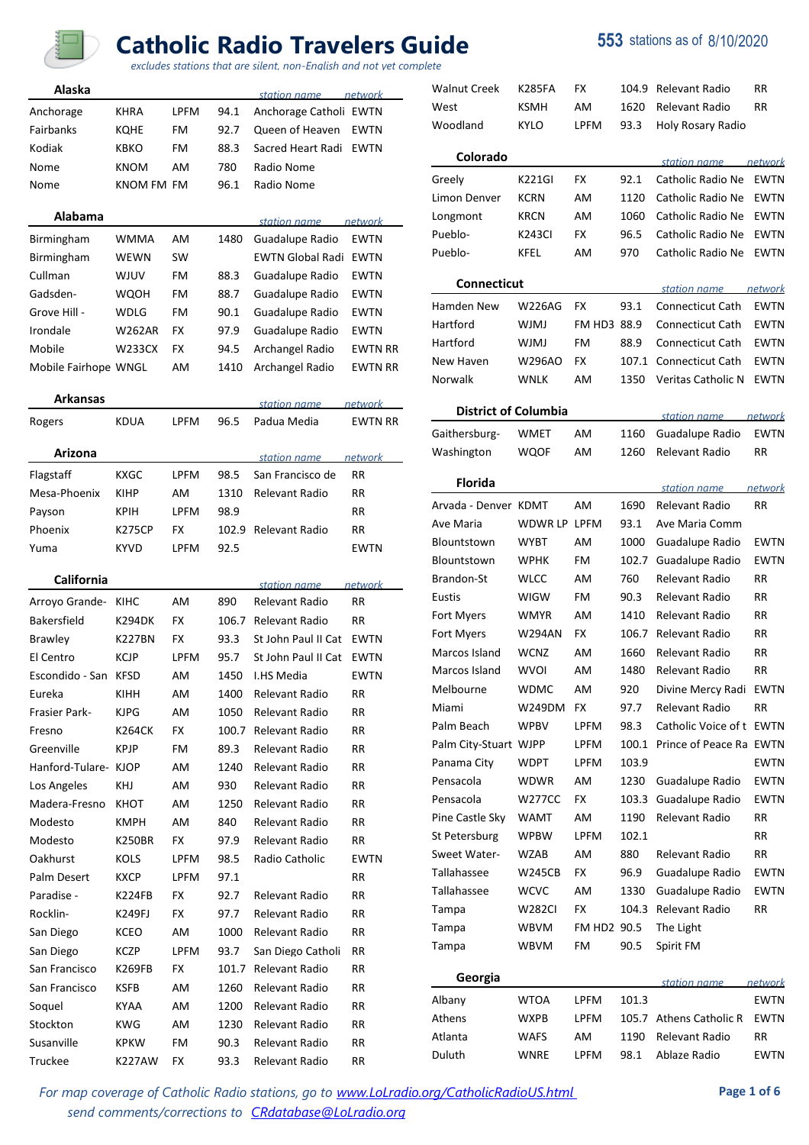

## **Catholic Radio Travelers Guide 553** stations as of 8/10/2020

*excludes stations that are silent, non-English and not yet complete*

| Alaska                |                       |             |              |                                  |                |
|-----------------------|-----------------------|-------------|--------------|----------------------------------|----------------|
|                       | KHRA                  | LPFM        | 94.1         | station name                     | network        |
| Anchorage             |                       | FM          |              | Anchorage Catholi EWTN           |                |
| Fairbanks             | KQHE                  |             | 92.7         | Queen of Heaven                  | EWTN           |
| Kodiak                | <b>KBKO</b>           | FM          | 88.3         | Sacred Heart Radi                | <b>EWTN</b>    |
| Nome                  | <b>KNOM</b>           | AM          | 780          | Radio Nome                       |                |
| Nome                  | KNOM FM FM            |             | 96.1         | Radio Nome                       |                |
| Alabama               |                       |             |              | station name                     | <u>network</u> |
| Birmingham            | WMMA                  | AM          | 1480         | Guadalupe Radio                  | <b>EWTN</b>    |
| Birmingham            | WEWN                  | SW          |              | <b>EWTN Global Radi</b>          | <b>EWTN</b>    |
| Cullman               | WJUV                  | FM          | 88.3         | Guadalupe Radio                  | EWTN           |
| Gadsden-              | WQOH                  | FM          | 88.7         | Guadalupe Radio                  | EWTN           |
| Grove Hill -          | WDLG                  | FM          | 90.1         | Guadalupe Radio                  | EWTN           |
| Irondale              | <b>W262AR</b>         | FX          | 97.9         | Guadalupe Radio                  | EWTN           |
| Mobile                | W233CX                | FX          | 94.5         | Archangel Radio                  | <b>EWTN RR</b> |
| Mobile Fairhope WNGL  |                       | AM          | 1410         | Archangel Radio                  | <b>EWTN RR</b> |
|                       |                       |             |              |                                  |                |
| Arkansas              |                       |             |              | station name                     | network        |
| Rogers                | <b>KDUA</b>           | <b>LPFM</b> | 96.5         | Padua Media                      | <b>EWTN RR</b> |
| Arizona               |                       |             |              | station name                     | network        |
| Flagstaff             | KXGC                  | <b>LPFM</b> | 98.5         | San Francisco de                 | RR             |
| Mesa-Phoenix          | KIHP                  | AM          | 1310         | Relevant Radio                   | RR             |
|                       |                       | <b>LPFM</b> |              |                                  | RR             |
| Payson                | KPIH                  |             | 98.9         |                                  |                |
| Phoenix               | K275CP                | FX          | 102.9        | Relevant Radio                   | RR             |
| Yuma                  | <b>KYVD</b>           | <b>LPFM</b> | 92.5         |                                  | <b>EWTN</b>    |
| <b>California</b>     |                       |             |              | station name                     | network        |
| Arroyo Grande-        | KIHC                  | AM          | 890          | Relevant Radio                   | RR.            |
| Bakersfield           | <b>K294DK</b>         | FX          | 106.7        | Relevant Radio                   | RR             |
| <b>Brawley</b>        | <b>K227BN</b>         | FX          | 93.3         | St John Paul II Cat              | EWTN           |
| El Centro             | KCJP                  | LPFM        | 95.7         | St John Paul II Cat              | EWTN           |
| Escondido - San       | <b>KFSD</b>           | AM          | 1450         | I.HS Media                       | <b>EWTN</b>    |
| Eureka                | KIHH                  | AM          | 1400         | Relevant Radio                   | RR             |
| <b>Frasier Park-</b>  | <b>KJPG</b>           | AM          | 1050         | Relevant Radio                   | RR             |
| Fresno                | K264CK                | FX          | 100.7        | Relevant Radio                   | RR             |
| Greenville            | <b>KPJP</b>           | FM          | 89.3         | Relevant Radio                   | RR             |
| Hanford-Tulare- KJOP  |                       | AM          | 1240         | Relevant Radio                   | RR             |
| Los Angeles           | KHJ                   | AM          | 930          | Relevant Radio                   | RR             |
| Madera-Fresno         | кнот                  | AM          | 1250         | Relevant Radio                   | RR             |
| Modesto               | <b>KMPH</b>           | AM          | 840          | Relevant Radio                   | RR             |
| Modesto               | K250BR                | FX          | 97.9         | Relevant Radio                   | RR             |
| Oakhurst              | KOLS                  | <b>LPFM</b> | 98.5         | Radio Catholic                   | <b>EWTN</b>    |
| Palm Desert           | KXCP                  | LPFM        | 97.1         |                                  | RR             |
| Paradise -            | K224FB                | FX          | 92.7         | Relevant Radio                   | RR             |
| Rocklin-              | K249FJ                | FX          | 97.7         | Relevant Radio                   | RR             |
| San Diego             | <b>KCEO</b>           | AM          | 1000         | Relevant Radio                   | RR             |
| San Diego             | KCZP                  | <b>LPFM</b> | 93.7         | San Diego Catholi                | RR             |
| San Francisco         | K269FB                | FX          | 101.7        | Relevant Radio                   | RR             |
| San Francisco         | KSFB                  | AM          | 1260         | Relevant Radio                   | RR             |
| Soquel                | <b>KYAA</b>           | AM          | 1200         | Relevant Radio                   | RR             |
| Stockton              | KWG                   | AM          | 1230         | Relevant Radio                   | RR             |
|                       |                       |             |              |                                  |                |
|                       |                       |             |              |                                  |                |
| Susanville<br>Truckee | <b>KPKW</b><br>K227AW | FM<br>FX    | 90.3<br>93.3 | Relevant Radio<br>Relevant Radio | RR<br>RR       |

| te                          |               |             |       |                           |             |
|-----------------------------|---------------|-------------|-------|---------------------------|-------------|
| Walnut Creek                | <b>K285FA</b> | FX          | 104.9 | Relevant Radio            | <b>RR</b>   |
| West                        | <b>KSMH</b>   | AM          | 1620  | Relevant Radio            | RR          |
| Woodland                    | <b>KYLO</b>   | <b>LPFM</b> | 93.3  | Holy Rosary Radio         |             |
|                             |               |             |       |                           |             |
| Colorado                    |               |             |       | station name              | network     |
| Greely                      | K221GI        | FX          | 92.1  | Catholic Radio Ne         | <b>EWTN</b> |
| Limon Denver                | KCRN          | AM          | 1120  | Catholic Radio Ne         | <b>EWTN</b> |
| Longmont                    | <b>KRCN</b>   | AM          | 1060  | Catholic Radio Ne         | EWTN        |
| Pueblo-                     | K243CI        | FX          | 96.5  | Catholic Radio Ne         | EWTN        |
| Pueblo-                     | KFEL          | AM          | 970   | Catholic Radio Ne         | <b>EWTN</b> |
| Connecticut                 |               |             |       | station name              | network     |
| Hamden New                  | <b>W226AG</b> | FX          | 93.1  | <b>Connecticut Cath</b>   | <b>EWTN</b> |
| Hartford                    | <b>WJMJ</b>   | FM HD3 88.9 |       | <b>Connecticut Cath</b>   | EWTN        |
| Hartford                    | <b>WJMJ</b>   | FM          | 88.9  | <b>Connecticut Cath</b>   | EWTN        |
| New Haven                   | W296AO        | FX          | 107.1 | <b>Connecticut Cath</b>   | EWTN        |
| Norwalk                     | <b>WNLK</b>   | AM          | 1350  | <b>Veritas Catholic N</b> | <b>EWTN</b> |
|                             |               |             |       |                           |             |
| <b>District of Columbia</b> |               |             |       | station name              | network     |
| Gaithersburg-               | WMET          | AM          | 1160  | Guadalupe Radio           | EWTN        |
| Washington                  | WQOF          | AM          | 1260  | Relevant Radio            | <b>RR</b>   |
| <b>Florida</b>              |               |             |       |                           |             |
|                             |               |             |       | station name              | network     |
| Arvada - Denver KDMT        |               | AM          | 1690  | Relevant Radio            | RR          |
| Ave Maria                   | WDWR LP       | LPFM        | 93.1  | Ave Maria Comm            |             |
| Blountstown                 | <b>WYBT</b>   | AM          | 1000  | Guadalupe Radio           | EWTN        |
| Blountstown                 | <b>WPHK</b>   | FM          | 102.7 | Guadalupe Radio           | <b>EWTN</b> |
| Brandon-St                  | <b>WLCC</b>   | AM          | 760   | Relevant Radio            | RR          |
| Eustis                      | WIGW          | FM          | 90.3  | Relevant Radio            | RR          |
| Fort Myers                  | <b>WMYR</b>   | AM          | 1410  | Relevant Radio            | RR          |
| Fort Myers                  | <b>W294AN</b> | FX          | 106.7 | Relevant Radio            | RR          |
| Marcos Island               | <b>WCNZ</b>   | AM          | 1660  | Relevant Radio            | <b>RR</b>   |
| Marcos Island               | <b>WVOI</b>   | AM          | 1480  | Relevant Radio            | RR          |
| Melbourne                   | <b>WDMC</b>   | AM          | 920   | Divine Mercy Radi         | EWTN        |
| Miami                       | W249DM        | FX          | 97.7  | Relevant Radio            | <b>RR</b>   |
| Palm Beach                  | WPBV          | LPFM        | 98.3  | Catholic Voice of t       | EWTN        |
| Palm City-Stuart WJPP       |               | LPFM        | 100.1 | Prince of Peace Ra        | EWTN        |
| Panama City                 | WDPT          | LPFM        | 103.9 |                           | EWTN        |
| Pensacola                   | <b>WDWR</b>   | AM          | 1230  | Guadalupe Radio           | EWTN        |
| Pensacola                   | <b>W277CC</b> | <b>FX</b>   | 103.3 | Guadalupe Radio           | <b>EWTN</b> |
| Pine Castle Sky             | <b>WAMT</b>   | AM          | 1190  | Relevant Radio            | RR          |
| St Petersburg               | <b>WPBW</b>   | <b>LPFM</b> | 102.1 |                           | RR          |
| Sweet Water-                | WZAB          | AM          | 880   | Relevant Radio            | RR          |
| Tallahassee                 | W245CB        | <b>FX</b>   | 96.9  | Guadalupe Radio           | EWTN        |
| Tallahassee                 | <b>WCVC</b>   | AM          | 1330  | Guadalupe Radio           | EWTN        |
| Tampa                       | W282CI        | FX          | 104.3 | Relevant Radio            | RR          |
| Tampa                       | WBVM          | FM HD2 90.5 |       | The Light                 |             |
| Tampa                       | WBVM          | FM          | 90.5  | Spirit FM                 |             |
| Georgia                     |               |             |       | station name              | network     |
| Albany                      | WTOA          | LPFM        | 101.3 |                           | <b>EWTN</b> |
| Athens                      | WXPB          | LPFM        | 105.7 | <b>Athens Catholic R</b>  | EWTN        |
| Atlanta                     | WAFS          | AM          | 1190  | Relevant Radio            | RR          |

Duluth WNRE LPFM 98.1 Ablaze Radio EWTN

For map coverage of Catholic Radio stations, go to **www.LoLradio.org/CatholicRadioUS.html Page 1 of 6** *send comments/corrections to CRdatabase@LoLradio.org*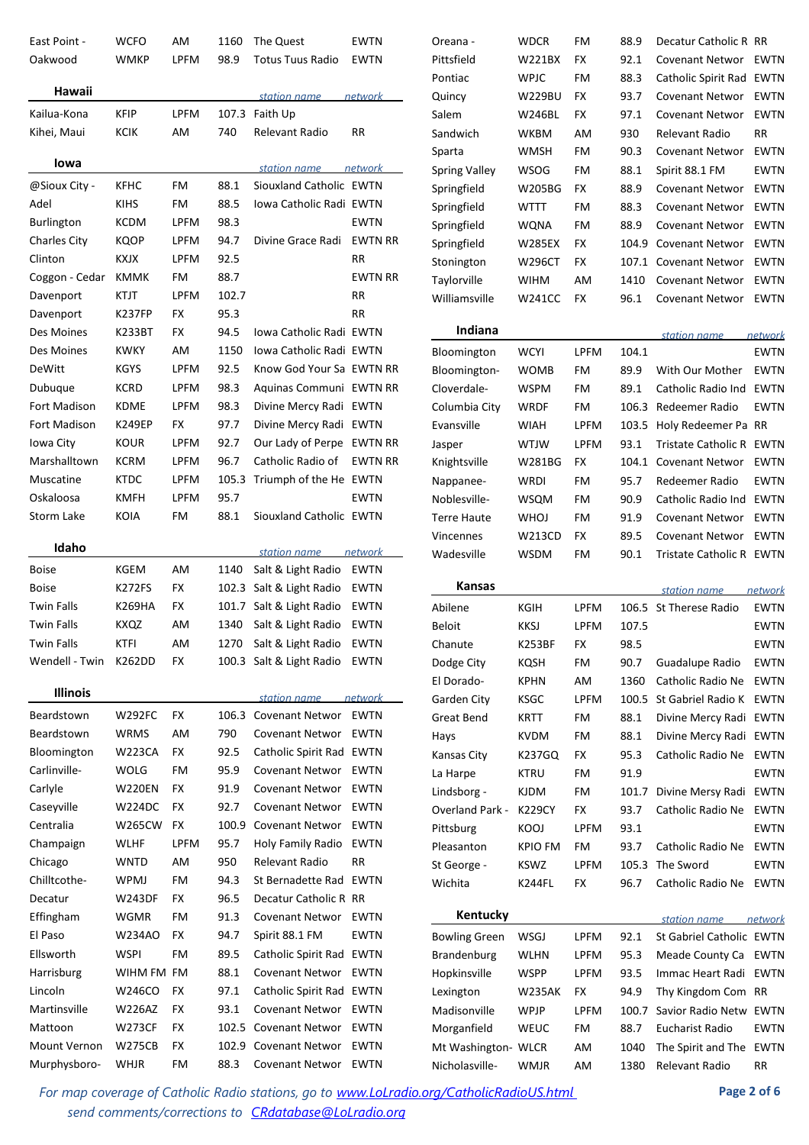| East Point -        | WCFO          | AM          | 1160        | The Quest                                        | EWTN                   |
|---------------------|---------------|-------------|-------------|--------------------------------------------------|------------------------|
| Oakwood             | <b>WMKP</b>   | <b>LPFM</b> | 98.9        | <b>Totus Tuus Radio</b>                          | EWTN                   |
| Hawaii              |               |             |             | station name                                     | network                |
| Kailua-Kona         | <b>KFIP</b>   | <b>LPFM</b> |             | 107.3 Faith Up                                   |                        |
| Kihei, Maui         | KCIK          | AM          | 740         | Relevant Radio                                   | RR                     |
|                     |               |             |             |                                                  |                        |
| lowa                |               |             |             | station name                                     | network                |
| @Sioux City -       | KFHC          | FM          | 88.1        | Siouxland Catholic EWTN                          |                        |
| Adel                | <b>KIHS</b>   | FM          | 88.5        | Jowa Catholic Radi EWTN                          |                        |
| <b>Burlington</b>   | KCDM          | <b>LPFM</b> | 98.3        |                                                  | EWTN                   |
| <b>Charles City</b> | KQOP          | <b>LPFM</b> | 94.7        | Divine Grace Radi                                | <b>EWTN RR</b>         |
| Clinton             | <b>KXJX</b>   | <b>LPFM</b> | 92.5        |                                                  | RR                     |
| Coggon - Cedar      | <b>KMMK</b>   | FM          | 88.7        |                                                  | <b>EWTN RR</b>         |
| Davenport           | KTJT          | <b>LPFM</b> | 102.7       |                                                  | RR                     |
| Davenport           | <b>K237FP</b> | FX          | 95.3        |                                                  | <b>RR</b>              |
| Des Moines          | K233BT        | FX          | 94.5        | Jowa Catholic Radi FWTN                          |                        |
| Des Moines          | <b>KWKY</b>   | AM          | 1150        | Jowa Catholic Radi EWTN                          |                        |
| DeWitt              | <b>KGYS</b>   | <b>LPFM</b> | 92.5        | Know God Your Sa EWTN RR                         |                        |
| Dubuque             | <b>KCRD</b>   | <b>LPFM</b> | 98.3        | Aquinas Communi                                  | <b>EWTN RR</b>         |
| Fort Madison        | <b>KDME</b>   | <b>LPFM</b> | 98.3        | Divine Mercy Radi                                | EWTN                   |
| Fort Madison        | K249EP        | <b>FX</b>   | 97.7        | Divine Mercy Radi                                | EWTN                   |
| Iowa City           | KOUR          | <b>LPFM</b> | 92.7        | Our Lady of Perpe                                | <b>EWTN RR</b>         |
| Marshalltown        | KCRM          | <b>LPFM</b> | 96.7        | Catholic Radio of                                | <b>EWTN RR</b>         |
| Muscatine           | KTDC          | <b>LPFM</b> | 105.3       | Triumph of the He EWTN                           |                        |
| Oskaloosa           | KMFH          | LPFM        | 95.7        |                                                  | EWTN                   |
| <b>Storm Lake</b>   | KOIA          | FM          | 88.1        | Siouxland Catholic EWTN                          |                        |
|                     |               |             |             |                                                  |                        |
| Idaho               |               |             |             | station name                                     | network                |
| <b>Boise</b>        | KGEM          | AM          | 1140        | Salt & Light Radio                               | <b>EWTN</b>            |
| <b>Boise</b>        | K272FS        | FX          | 102.3       | Salt & Light Radio                               | EWTN                   |
| <b>Twin Falls</b>   | K269HA        | FX          | 101.7       | Salt & Light Radio                               | <b>EWTN</b>            |
| <b>Twin Falls</b>   | KXQZ          | AM          | 1340        | Salt & Light Radio                               | EWTN                   |
| <b>Twin Falls</b>   | <b>KTFI</b>   | AM          | 1270        | Salt & Light Radio                               | EWTN                   |
| Wendell - Twin      | K262DD        | FX          | 100.3       | Salt & Light Radio                               | EWTN                   |
| Illinois            |               |             |             |                                                  |                        |
| Beardstown          | <b>W292FC</b> | FX          | 106.3       | station name<br><b>Covenant Networ</b>           | network<br><b>EWTN</b> |
| Beardstown          |               | AM          |             | <b>Covenant Networ</b>                           |                        |
| Bloomington         | WRMS          |             | 790<br>92.5 | Catholic Spirit Rad                              | EWTN                   |
| Carlinville-        | <b>W223CA</b> | FX<br>FM    | 95.9        |                                                  | <b>EWTN</b>            |
| Carlyle             | WOLG          |             | 91.9        | <b>Covenant Networ</b><br><b>Covenant Networ</b> | EWTN                   |
|                     | W220EN        | FX          |             |                                                  | EWTN                   |
| Caseyville          | W224DC        | FX          | 92.7        | <b>Covenant Networ</b>                           | EWTN                   |
| Centralia           | W265CW        | FX          | 100.9       | <b>Covenant Networ</b>                           | EWTN                   |
| Champaign           | WLHF          | <b>LPFM</b> | 95.7        | Holy Family Radio                                | EWTN                   |
| Chicago             | WNTD          | AM          | 950         | Relevant Radio                                   | RR                     |
| Chilltcothe-        | WPMJ          | FM          | 94.3        | St Bernadette Rad                                | <b>EWTN</b>            |
| Decatur             | W243DF        | FX          | 96.5        | Decatur Catholic R RR                            |                        |
| Effingham           | WGMR          | FM          | 91.3        | <b>Covenant Networ</b>                           | EWTN                   |
| El Paso             | W234AO        | FX          | 94.7        | Spirit 88.1 FM                                   | EWTN                   |
| Ellsworth           | WSPI          | FM          | 89.5        | Catholic Spirit Rad                              | EWTN                   |
| Harrisburg          | WIHM FM FM    |             | 88.1        | <b>Covenant Networ</b>                           | EWTN                   |
| Lincoln             | W246CO        | FX          | 97.1        | Catholic Spirit Rad                              | <b>EWTN</b>            |
| Martinsville        | W226AZ        | FX          | 93.1        | <b>Covenant Networ</b>                           | EWTN                   |
| Mattoon             | W273CF        | FX          | 102.5       | <b>Covenant Networ</b>                           | EWTN                   |
| Mount Vernon        | W275CB        | FX          | 102.9       | <b>Covenant Networ</b>                           | EWTN                   |
| Murphysboro-        | WHJR          | FM          | 88.3        | <b>Covenant Networ</b>                           | EWTN                   |

| Oreana -             | <b>WDCR</b>   | FM | 88.9  | Decatur Catholic R RR  |             |
|----------------------|---------------|----|-------|------------------------|-------------|
| Pittsfield           | <b>W221BX</b> | FX | 92.1  | <b>Covenant Networ</b> | <b>EWTN</b> |
| Pontiac              | <b>WPJC</b>   | FM | 88.3  | Catholic Spirit Rad    | <b>EWTN</b> |
| Quincy               | W229BU        | FX | 93.7  | <b>Covenant Networ</b> | <b>EWTN</b> |
| Salem                | W246BL        | FX | 97.1  | <b>Covenant Networ</b> | EWTN        |
| Sandwich             | WKBM          | AM | 930   | Relevant Radio         | RR          |
| Sparta               | WMSH          | FM | 90.3  | Covenant Networ        | <b>EWTN</b> |
| <b>Spring Valley</b> | <b>WSOG</b>   | FM | 88.1  | Spirit 88.1 FM         | <b>EWTN</b> |
| Springfield          | W205BG        | FX | 88.9  | <b>Covenant Networ</b> | <b>EWTN</b> |
| Springfield          | WTTT          | FM | 88.3  | Covenant Networ        | <b>EWTN</b> |
| Springfield          | WQNA          | FM | 88.9  | <b>Covenant Networ</b> | <b>EWTN</b> |
| Springfield          | <b>W285EX</b> | FX | 104.9 | Covenant Networ        | <b>EWTN</b> |
| Stonington           | W296CT        | FX | 107.1 | Covenant Networ        | EWTN        |
| Taylorville          | WIHM          | AM | 1410  | <b>Covenant Networ</b> | <b>EWTN</b> |
| Williamsville        | W241CC        | FX | 96.1  | <b>Covenant Networ</b> | EWTN        |
| $l$ adiana           |               |    |       |                        |             |
|                      |               |    |       |                        |             |

| <b>Indiana</b> |             |             |       | station name        | network     |
|----------------|-------------|-------------|-------|---------------------|-------------|
| Bloomington    | <b>WCYI</b> | LPFM        | 104.1 |                     | EWTN        |
| Bloomington-   | <b>WOMB</b> | FM          | 89.9  | With Our Mother     | <b>EWTN</b> |
| Cloverdale-    | <b>WSPM</b> | FM          | 89.1  | Catholic Radio Ind  | <b>EWTN</b> |
| Columbia City  | WRDF        | FM          | 106.3 | Redeemer Radio      | <b>EWTN</b> |
| Evansville     | WIAH        | <b>LPFM</b> | 103.5 | Holy Redeemer Pa RR |             |
| Jasper         | <b>WTJW</b> | LPFM        | 93.1  | Tristate Catholic R | <b>FWTN</b> |
| Knightsville   | W281BG      | FX          | 104.1 | Covenant Networ     | EWTN        |
| Nappanee-      | WRDI        | FM          | 95.7  | Redeemer Radio      | <b>EWTN</b> |
| Noblesville-   | <b>WSOM</b> | FM          | 90.9  | Catholic Radio Ind  | <b>EWTN</b> |
| Terre Haute    | <b>WHOJ</b> | FM          | 91.9  | Covenant Networ     | <b>EWTN</b> |
| Vincennes      | W213CD      | FX          | 89.5  | Covenant Networ     | <b>EWTN</b> |
| Wadesville     | WSDM        | FM          | 90.1  | Tristate Catholic R | <b>FWTN</b> |

| <b>Kansas</b>          |                |             |       | station name               | network     |
|------------------------|----------------|-------------|-------|----------------------------|-------------|
| Abilene                | KGIH           | <b>LPFM</b> | 106.5 | <b>St Therese Radio</b>    | <b>EWTN</b> |
| <b>Beloit</b>          | <b>KKSJ</b>    | <b>LPFM</b> | 107.5 |                            | <b>EWTN</b> |
| Chanute                | <b>K253BF</b>  | FX          | 98.5  |                            | <b>EWTN</b> |
| Dodge City             | KOSH           | FM          | 90.7  | Guadalupe Radio            | <b>EWTN</b> |
| El Dorado-             | <b>KPHN</b>    | AM          | 1360  | Catholic Radio Ne          | <b>EWTN</b> |
| Garden City            | <b>KSGC</b>    | <b>LPFM</b> | 100.5 | St Gabriel Radio K         | <b>EWTN</b> |
| Great Bend             | <b>KRTT</b>    | FM          | 88.1  | Divine Mercy Radi          | <b>EWTN</b> |
| Hays                   | <b>KVDM</b>    | FM          | 88.1  | Divine Mercy Radi          | <b>EWTN</b> |
| Kansas City            | K237GQ         | FX          | 95.3  | Catholic Radio Ne          | <b>EWTN</b> |
| La Harpe               | KTRU           | FM          | 91.9  |                            | <b>EWTN</b> |
| Lindsborg -            | <b>KJDM</b>    | FM          | 101.7 | Divine Mersy Radi          | <b>EWTN</b> |
| <b>Overland Park -</b> | <b>K229CY</b>  | FX          | 93.7  | Catholic Radio Ne          | <b>EWTN</b> |
| Pittsburg              | KOOJ           | <b>LPFM</b> | 93.1  |                            | <b>EWTN</b> |
| Pleasanton             | <b>KPIO FM</b> | FM          | 93.7  | Catholic Radio Ne          | <b>EWTN</b> |
| St George -            | <b>KSWZ</b>    | LPFM        | 105.3 | The Sword                  | <b>EWTN</b> |
| Wichita                | <b>K244FL</b>  | FX          | 96.7  | Catholic Radio Ne          | <b>EWTN</b> |
|                        |                |             |       |                            |             |
| Kentucky               |                |             |       | station name               | network     |
| <b>Bowling Green</b>   | WSGJ           | <b>LPFM</b> | 92.1  | <b>St Gabriel Catholic</b> | <b>EWTN</b> |
| <b>Brandenburg</b>     | <b>WLHN</b>    | <b>LPFM</b> | 95.3  | Meade County Ca            | <b>EWTN</b> |
| Hopkinsville           | <b>WSPP</b>    | LPFM        | 93.5  | Immac Heart Radi           | <b>EWTN</b> |
| Lexington              | <b>W235AK</b>  | FX          | 94.9  | Thy Kingdom Com            | <b>RR</b>   |

Madisonville WPJP LPFM 100.7 Savior Radio Netw EWTN Morganfield WEUC FM 88.7 Eucharist Radio EWTN Mt Washington- WLCR AM 1040 The Spirit and The EWTN Nicholasville- WMJR AM 1380 Relevant Radio RR

For map coverage of Catholic Radio stations, go to **www.LoLradio.org/CatholicRadioUS.html Page 2 of 6** *send comments/corrections to CRdatabase@LoLradio.org*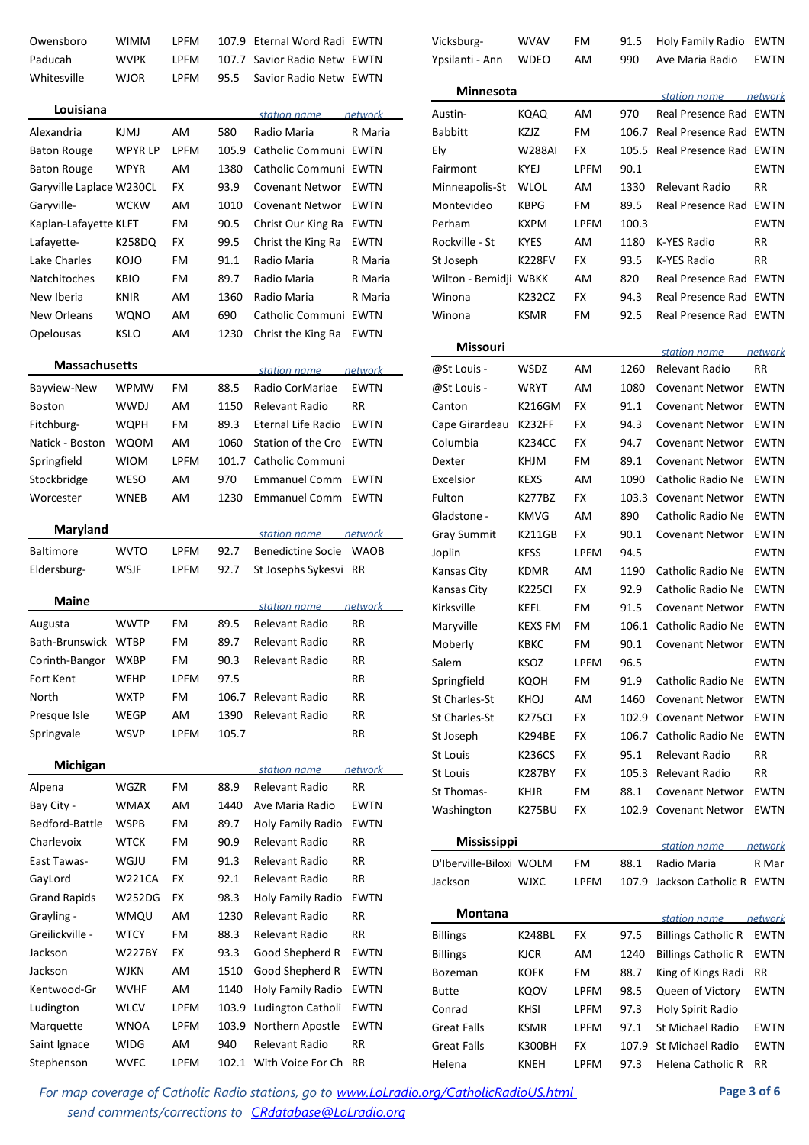| Owensboro                | WIMM        | LPFM        | 107.9 | Eternal Word Radi EWTN    |                |
|--------------------------|-------------|-------------|-------|---------------------------|----------------|
| Paducah                  | WVPK        | <b>LPFM</b> | 107.7 | Savior Radio Netw EWTN    |                |
| Whitesville              | WJOR        | <b>LPFM</b> | 95.5  | Savior Radio Netw EWTN    |                |
| Louisiana                |             |             |       | station name              | network        |
| Alexandria               | KJMJ        | AM          | 580   | Radio Maria               | R Maria        |
| <b>Baton Rouge</b>       | WPYR LP     | <b>LPFM</b> | 105.9 | Catholic Communi EWTN     |                |
| <b>Baton Rouge</b>       | WPYR        | AM          | 1380  | Catholic Communi          | <b>EWTN</b>    |
| Garyville Laplace W230CL |             | <b>FX</b>   | 93.9  | <b>Covenant Networ</b>    | <b>EWTN</b>    |
| Garyville-               | <b>WCKW</b> | AM          | 1010  | <b>Covenant Networ</b>    | <b>EWTN</b>    |
| Kaplan-Lafayette KLFT    |             | FM          | 90.5  | Christ Our King Ra        | <b>EWTN</b>    |
| Lafayette-               | K258DQ      | <b>FX</b>   | 99.5  | Christ the King Ra        | <b>EWTN</b>    |
| Lake Charles             | KOJO        | FM          | 91.1  | Radio Maria               | R Maria        |
| Natchitoches             | <b>KBIO</b> | FM          | 89.7  | Radio Maria               | R Maria        |
| New Iberia               | KNIR        | AM          | 1360  | Radio Maria               | R Maria        |
| New Orleans              | WQNO        | AM          | 690   | Catholic Communi          | <b>EWTN</b>    |
| Opelousas                | <b>KSLO</b> | AM          | 1230  | Christ the King Ra        | <b>EWTN</b>    |
|                          |             |             |       |                           |                |
| <b>Massachusetts</b>     |             |             |       | station name              | network        |
| Bayview-New              | WPMW        | FM          | 88.5  | Radio CorMariae           | <b>EWTN</b>    |
| <b>Boston</b>            | <b>WWDJ</b> | AM          | 1150  | Relevant Radio            | <b>RR</b>      |
| Fitchburg-               | WQPH        | FM          | 89.3  | <b>Eternal Life Radio</b> | <b>EWTN</b>    |
| Natick - Boston          | <b>WQOM</b> | AM          | 1060  | Station of the Cro        | <b>EWTN</b>    |
| Springfield              | <b>WIOM</b> | LPFM        | 101.7 | Catholic Communi          |                |
| Stockbridge              | WESO        | AM          | 970   | <b>Emmanuel Comm</b>      | <b>EWTN</b>    |
| Worcester                | WNEB        | AM          | 1230  | <b>Emmanuel Comm</b>      | <b>EWTN</b>    |
| <b>Maryland</b>          |             |             |       | station name              | network        |
| <b>Baltimore</b>         | WVTO        | <b>LPFM</b> | 92.7  | <b>Benedictine Socie</b>  | <b>WAOB</b>    |
| Eldersburg-              | WSJF        | <b>LPFM</b> | 92.7  | St Josephs Sykesvi        | <b>RR</b>      |
| <b>Maine</b>             |             |             |       | station name              | network        |
| Augusta                  | <b>WWTP</b> | FM          | 89.5  | Relevant Radio            | <b>RR</b>      |
| Bath-Brunswick           | <b>WTBP</b> | FM          | 89.7  | Relevant Radio            | RR             |
| Corinth-Bangor           | WXBP        | FM          | 90.3  | Relevant Radio            | RR             |
| Fort Kent                | WFHP        | <b>LPFM</b> | 97.5  |                           | RR             |
| North                    | <b>WXTP</b> | FM          | 106.7 | <b>Relevant Radio</b>     | RR             |
| Presque Isle             | WEGP        | AM          | 1390  | Relevant Radio            | RR             |
| Springvale               | WSVP        | LPFM        | 105.7 |                           | RR             |
| Michigan                 |             |             |       | station name              | <u>network</u> |
| Alpena                   | WGZR        | FM          | 88.9  | Relevant Radio            | RR             |
| Bay City -               | <b>WMAX</b> | AM          | 1440  | Ave Maria Radio           | <b>EWTN</b>    |
| Bedford-Battle           | WSPB        | FM          | 89.7  | Holy Family Radio         | EWTN           |
| Charlevoix               | WTCK        | FM          | 90.9  | Relevant Radio            | RR             |
| East Tawas-              | WGJU        | FM          | 91.3  | Relevant Radio            | RR             |
| GayLord                  | W221CA      | FX          | 92.1  | Relevant Radio            | RR             |
| <b>Grand Rapids</b>      | W252DG      | FX          | 98.3  | Holy Family Radio         | EWTN           |
| Grayling -               | WMQU        | AM          | 1230  | Relevant Radio            | RR             |
| Greilickville -          | <b>WTCY</b> | FM          | 88.3  | Relevant Radio            | RR             |
| Jackson                  | W227BY      | FX          | 93.3  | Good Shepherd R           | EWTN           |
| Jackson                  | WJKN        | AM          | 1510  | Good Shepherd R           | EWTN           |
| Kentwood-Gr              | WVHF        | AM          | 1140  | Holy Family Radio         | <b>EWTN</b>    |
| Ludington                | WLCV        | LPFM        | 103.9 | Ludington Catholi         | EWTN           |
| Marquette                | WNOA        | LPFM        | 103.9 | Northern Apostle          | EWTN           |
| Saint Ignace             | WIDG        | AM          | 940   | Relevant Radio            | RR             |
| Stephenson               | <b>WVFC</b> | <b>LPFM</b> | 102.1 | With Voice For Ch         | RR             |
|                          |             |             |       |                           |                |

| Vicksburg-              | WVAV          | FM          | 91.5  | Holy Family Radio          | EWTN        |  |  |
|-------------------------|---------------|-------------|-------|----------------------------|-------------|--|--|
| Ypsilanti - Ann         | <b>WDEO</b>   | AM          | 990   | Ave Maria Radio            | EWTN        |  |  |
|                         |               |             |       |                            |             |  |  |
| <b>Minnesota</b>        |               |             |       | station name network       |             |  |  |
| Austin-                 | KQAQ          | AM          | 970   | Real Presence Rad EWTN     |             |  |  |
| <b>Babbitt</b>          | KZJZ          | FM          | 106.7 | Real Presence Rad EWTN     |             |  |  |
| Ely                     | W288AI        | FX          | 105.5 | Real Presence Rad          | <b>EWTN</b> |  |  |
| Fairmont                | KYEJ          | I PFM       | 90.1  |                            | EWTN        |  |  |
| Minneapolis-St          | WLOL          | AM          | 1330  | Relevant Radio             | RR          |  |  |
| Montevideo              | KBPG          | FM          | 89.5  | Real Presence Rad          | EWTN        |  |  |
| Perham                  | <b>KXPM</b>   | <b>LPFM</b> | 100.3 |                            | EWTN        |  |  |
| Rockville - St          | KYES          | AM          | 1180  | K-YES Radio                | RR          |  |  |
| St Joseph               | K228FV        | FX          | 93.5  | K-YES Radio                | RR          |  |  |
| Wilton - Bemidji WBKK   |               | AM          | 820   | Real Presence Rad          | <b>EWTN</b> |  |  |
| Winona                  | K232CZ        | FX          | 94.3  | Real Presence Rad          | <b>EWTN</b> |  |  |
| Winona                  | KSMR          | FM          | 92.5  | Real Presence Rad EWTN     |             |  |  |
| <b>Missouri</b>         |               |             |       |                            |             |  |  |
|                         |               |             |       | station name               | network     |  |  |
| @St Louis -             | WSDZ          | AM          | 1260  | Relevant Radio             | RR          |  |  |
| @St Louis -             | WRYT          | AM          | 1080  | <b>Covenant Networ</b>     | EWTN        |  |  |
| Canton                  | K216GM        | FX          | 91.1  | <b>Covenant Networ</b>     | EWTN        |  |  |
| Cape Girardeau          | <b>K232FF</b> | FX          | 94.3  | <b>Covenant Networ</b>     | <b>EWTN</b> |  |  |
| Columbia                | K234CC        | FX          | 94.7  | <b>Covenant Networ</b>     | <b>EWTN</b> |  |  |
| Dexter                  | KHJM          | FM          | 89.1  | <b>Covenant Networ</b>     | <b>EWTN</b> |  |  |
| Excelsior               | KEXS          | AM          | 1090  | Catholic Radio Ne          | EWTN        |  |  |
| Fulton                  | K277BZ        | FX          | 103.3 | <b>Covenant Networ</b>     | EWTN        |  |  |
| Gladstone -             | <b>KMVG</b>   | AM          | 890   | Catholic Radio Ne          | EWTN        |  |  |
| Gray Summit             | K211GB        | FX          | 90.1  | <b>Covenant Networ</b>     | EWTN        |  |  |
| Joplin                  | <b>KFSS</b>   | <b>LPFM</b> | 94.5  |                            | EWTN        |  |  |
| Kansas City             | KDMR          | AM          | 1190  | Catholic Radio Ne          | EWTN        |  |  |
| Kansas City             | <b>K225CI</b> | FX          | 92.9  | Catholic Radio Ne          | EWTN        |  |  |
| Kirksville              | KEFL          | FM          | 91.5  | <b>Covenant Networ</b>     | EWTN        |  |  |
| Maryville               | KEXS FM       | FM          | 106.1 | Catholic Radio Ne          | <b>EWTN</b> |  |  |
| Moberly                 | квкс          | FM          | 90.1  | Covenant Networ            | EWTN        |  |  |
| Salem                   | KSOZ          | <b>LPFM</b> | 96.5  |                            | EWTN        |  |  |
| Springfield             | KQOH          | FM          | 91.9  | Catholic Radio Ne          | EWTN        |  |  |
| <b>St Charles-St</b>    | KHOJ          | AM          | 1460  | <b>Covenant Networ</b>     | EWTN        |  |  |
| <b>St Charles-St</b>    | K275CI        | <b>FX</b>   | 102.9 | <b>Covenant Networ</b>     | EWTN        |  |  |
| St Joseph               | K294BE        | FX          | 106.7 | Catholic Radio Ne          | EWTN        |  |  |
| <b>St Louis</b>         | K236CS        | FX          | 95.1  | Relevant Radio             | RR          |  |  |
| <b>St Louis</b>         | K287BY        | FX          | 105.3 | <b>Relevant Radio</b>      | RR          |  |  |
| St Thomas-              | KHJR          | FM          | 88.1  | <b>Covenant Networ</b>     | EWTN        |  |  |
| Washington              | K275BU        | FX          | 102.9 | <b>Covenant Networ</b>     | EWTN        |  |  |
| Mississippi             |               |             |       | <u>station name</u>        | network     |  |  |
| D'Iberville-Biloxi WOLM |               | FM          | 88.1  | Radio Maria                | R Mar       |  |  |
| Jackson                 | <b>WJXC</b>   | LPFM        | 107.9 | Jackson Catholic R         | <b>EWTN</b> |  |  |
|                         |               |             |       |                            |             |  |  |
| Montana                 |               |             |       | station name network       |             |  |  |
| <b>Billings</b>         | K248BL        | FX          | 97.5  | <b>Billings Catholic R</b> | <b>EWTN</b> |  |  |
| <b>Billings</b>         | KJCR          | AM          | 1240  | <b>Billings Catholic R</b> | EWTN        |  |  |
| Bozeman                 | KOFK          | FM          | 88.7  | King of Kings Radi         | RR          |  |  |
| <b>Butte</b>            | KQOV          | LPFM        | 98.5  | Queen of Victory           | EWTN        |  |  |
| Conrad                  | KHSI          | LPFM        | 97.3  | Holy Spirit Radio          |             |  |  |
| <b>Great Falls</b>      | KSMR          | LPFM        | 97.1  | St Michael Radio           | EWTN        |  |  |
| <b>Great Falls</b>      | K300BH        | FX          | 107.9 | St Michael Radio           | EWTN        |  |  |
| Helena                  | <b>KNEH</b>   | LPFM        | 97.3  | Helena Catholic R          | RR          |  |  |

For map coverage of Catholic Radio stations, go to **www.LoLradio.org/CatholicRadioUS.html Page 3 of 6** *send comments/corrections to CRdatabase@LoLradio.org*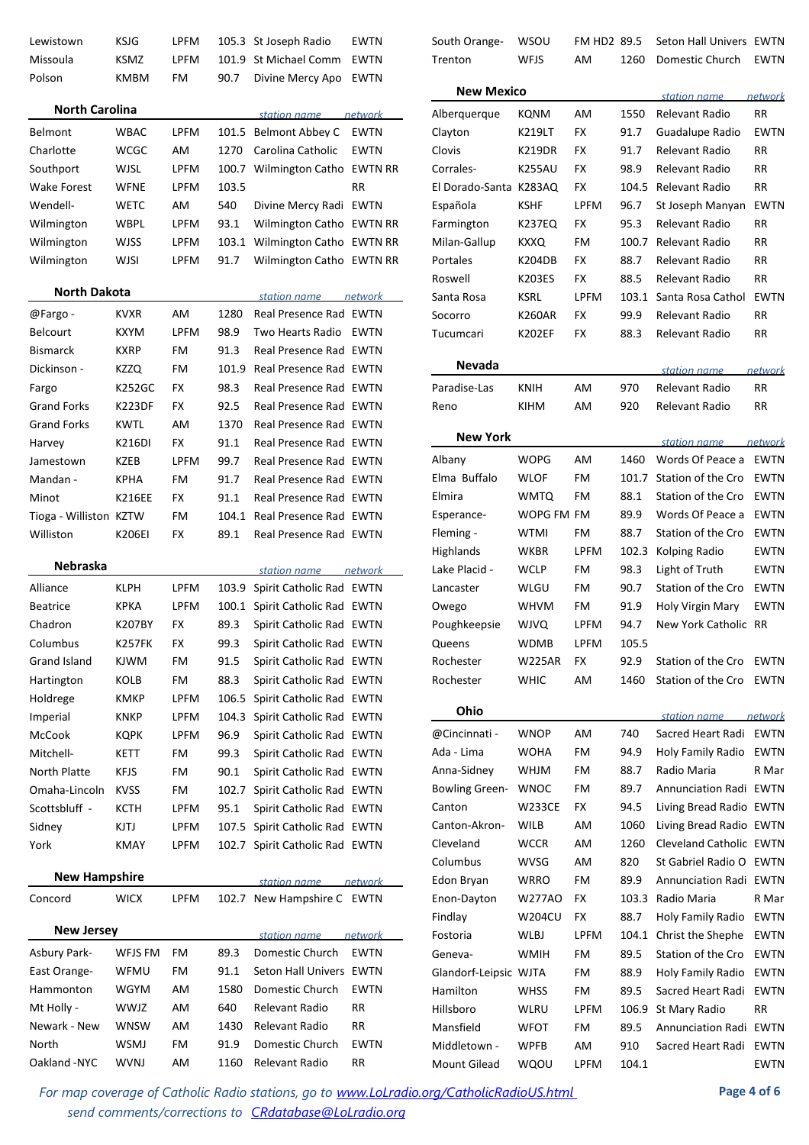| Lewistown              | <b>KSJG</b>   | <b>LPFM</b> |       | 105.3 St Joseph Radio          | <b>EWTN</b> | South Orange-          | <b>WSOU</b>   |
|------------------------|---------------|-------------|-------|--------------------------------|-------------|------------------------|---------------|
| Missoula               | KSMZ          | <b>LPFM</b> |       | 101.9 St Michael Comm          | EWTN        | Trenton                | WFJS          |
| Polson                 | KMBM          | FM          | 90.7  | Divine Mercy Apo               | EWTN        | <b>New Mexico</b>      |               |
| <b>North Carolina</b>  |               |             |       | station name                   | network     | Alberquerque           | KQNM          |
| <b>Belmont</b>         | <b>WBAC</b>   | <b>LPFM</b> |       | 101.5 Belmont Abbey C          | <b>EWTN</b> | Clayton                | <b>K219LT</b> |
| Charlotte              | <b>WCGC</b>   | AM          | 1270  | Carolina Catholic              | <b>EWTN</b> | Clovis                 | <b>K219DF</b> |
| Southport              | WJSL          | <b>LPFM</b> |       | 100.7 Wilmington Catho EWTN RR |             | Corrales-              | <b>K255Al</b> |
| Wake Forest            | <b>WFNE</b>   | <b>LPFM</b> | 103.5 |                                | <b>RR</b>   | El Dorado-Santa K283A0 |               |
| Wendell-               | WETC          | AM.         | 540   | Divine Mercy Radi EWTN         |             | Española               | <b>KSHF</b>   |
| Wilmington             | WBPL          | <b>LPFM</b> | 93.1  | Wilmington Catho EWTN RR       |             | Farmington             | <b>K237EC</b> |
| Wilmington             | WJSS          | <b>LPFM</b> |       | 103.1 Wilmington Catho EWTN RR |             | Milan-Gallup           | KXXQ          |
| Wilmington             | WJSI          | <b>LPFM</b> | 91.7  | Wilmington Catho EWTN RR       |             | <b>Portales</b>        | <b>K204DE</b> |
|                        |               |             |       |                                |             | Roswell                | <b>K203ES</b> |
| <b>North Dakota</b>    |               |             |       | station name                   | network     | Santa Rosa             | <b>KSRL</b>   |
| @Fargo -               | <b>KVXR</b>   | AM.         | 1280  | Real Presence Rad EWTN         |             | Socorro                | <b>K260AF</b> |
| <b>Belcourt</b>        | <b>KXYM</b>   | <b>LPFM</b> | 98.9  | Two Hearts Radio EWTN          |             | Tucumcari              | <b>K202EF</b> |
| <b>Bismarck</b>        | <b>KXRP</b>   | FM          | 91.3  | Real Presence Rad EWTN         |             |                        |               |
| Dickinson -            | KZZQ          | FM          | 101.9 | Real Presence Rad EWTN         |             | Nevada                 |               |
| Fargo                  | K252GC        | FX          | 98.3  | Real Presence Rad EWTN         |             | Paradise-Las           | <b>KNIH</b>   |
| <b>Grand Forks</b>     | <b>K223DF</b> | <b>FX</b>   | 92.5  | Real Presence Rad EWTN         |             | Reno                   | <b>KIHM</b>   |
| <b>Grand Forks</b>     | KWTL          | AM.         | 1370  | Real Presence Rad EWTN         |             |                        |               |
| Harvey                 | K216DI        | FX          | 91.1  | Real Presence Rad EWTN         |             | <b>New York</b>        |               |
| Jamestown              | KZEB          | <b>LPFM</b> | 99.7  | Real Presence Rad EWTN         |             | Albany                 | <b>WOPG</b>   |
| Mandan -               | <b>KPHA</b>   | FM          | 91.7  | Real Presence Rad EWTN         |             | Elma Buffalo           | WLOF          |
| Minot                  | K216EE        | <b>FX</b>   | 91.1  | Real Presence Rad EWTN         |             | Elmira                 | <b>WMTQ</b>   |
| Tioga - Williston KZTW |               | FM          |       | 104.1 Real Presence Rad EWTN   |             | Esperance-             | WOPG          |
| Williston              | K206EI        | FX          | 89.1  | Real Presence Rad EWTN         |             | Fleming -              | WTMI          |
|                        |               |             |       |                                |             | Highlands              | WKBR          |
| <b>Nebraska</b>        |               |             |       | station name                   | network     | Lake Placid -          | <b>WCLP</b>   |
| Alliance               | KLPH          | <b>LPFM</b> |       | 103.9 Spirit Catholic Rad EWTN |             | Lancaster              | WLGU          |
| <b>Beatrice</b>        | KPKA          | <b>LPFM</b> |       | 100.1 Spirit Catholic Rad EWTN |             | Owego                  | WHVM          |
| Chadron                | <b>K207BY</b> | FX          | 89.3  | Spirit Catholic Rad EWTN       |             | Poughkeepsie           | <b>WJVQ</b>   |
| Columbus               | <b>K257FK</b> | FX          | 99.3  | Spirit Catholic Rad EWTN       |             | Queens                 | WDMB          |
| <b>Grand Island</b>    | <b>KJWM</b>   | FM          | 91.5  | Spirit Catholic Rad EWTN       |             | Rochester              | <b>W225A</b>  |
| Hartington             | KOLB          | FM          | 88.3  | Spirit Catholic Rad EWTN       |             | Rochester              | <b>WHIC</b>   |
| Holdrege               | <b>KMKP</b>   | LPFM        | 106.5 | Spirit Catholic Rad EWTN       |             |                        |               |
| Imperial               | <b>KNKP</b>   | <b>LPFM</b> | 104.3 | Spirit Catholic Rad EWTN       |             | Ohio                   |               |
| McCook                 | <b>KQPK</b>   | <b>LPFM</b> | 96.9  | Spirit Catholic Rad EWTN       |             | @Cincinnati -          | <b>WNOP</b>   |
| Mitchell-              | KETT          | FM          | 99.3  | Spirit Catholic Rad EWTN       |             | Ada - Lima             | WOHA          |
| <b>North Platte</b>    | <b>KFJS</b>   | FM          | 90.1  | Spirit Catholic Rad EWTN       |             | Anna-Sidney            | <b>WHJM</b>   |
| Omaha-Lincoln          | <b>KVSS</b>   | FM          | 102.7 | Spirit Catholic Rad EWTN       |             | <b>Bowling Green-</b>  | <b>WNOC</b>   |
| Scottsbluff -          | кстн          | LPFM        | 95.1  | Spirit Catholic Rad EWTN       |             | Canton                 | W233C         |
| Sidney                 | KJTJ          | LPFM        |       | 107.5 Spirit Catholic Rad EWTN |             | Canton-Akron-          | <b>WILB</b>   |
| York                   | <b>KMAY</b>   | <b>LPFM</b> |       | 102.7 Spirit Catholic Rad EWTN |             | Cleveland              | <b>WCCR</b>   |
|                        |               |             |       |                                |             | Columbus               | WVSG          |
| <b>New Hampshire</b>   |               |             |       | station name                   | network     | Edon Bryan             | WRRO          |
| Concord                | <b>WICX</b>   | <b>LPFM</b> |       | 102.7 New Hampshire C EWTN     |             | Enon-Dayton            | W277A         |
|                        |               |             |       |                                |             | Findlay                | W204C         |
| <b>New Jersey</b>      |               |             |       | station name                   | network     | Fostoria               | WLBJ          |
| <b>Asbury Park-</b>    | WFJS FM       | FM          | 89.3  | Domestic Church                | <b>EWTN</b> | Geneva-                | <b>WMIH</b>   |
| East Orange-           | WFMU          | FM          | 91.1  | Seton Hall Univers EWTN        |             | Glandorf-Leipsic WJTA  |               |
| Hammonton              | WGYM          | AM          | 1580  | Domestic Church                | EWTN        | Hamilton               | <b>WHSS</b>   |
| Mt Holly -             | WWJZ          | AM          | 640   | Relevant Radio                 | RR          | Hillsboro              | WLRU          |
| Newark - New           | <b>WNSW</b>   | AM          | 1430  | Relevant Radio                 | RR          | Mansfield              | <b>WFOT</b>   |
| North                  | WSMJ          | FM          | 91.9  | Domestic Church                | <b>EWTN</b> | Middletown -           | <b>WPFB</b>   |
| Oakland -NYC           | <b>WVNJ</b>   | AM          | 1160  | Relevant Radio                 | RR          | Mount Gilead           | WQOU          |
|                        |               |             |       |                                |             |                        |               |

| Trenton                | WFJS          | AM          | 1260  | Domestic Church               | <b>EWTN</b>    |
|------------------------|---------------|-------------|-------|-------------------------------|----------------|
| <b>New Mexico</b>      |               |             |       | station name                  | network        |
| Alberquerque           | KQNM          | AM          | 1550  | Relevant Radio                | RR             |
| Clayton                | K219LT        | <b>FX</b>   | 91.7  | Guadalupe Radio               | <b>EWTN</b>    |
| Clovis                 | <b>K219DR</b> | FX          | 91.7  | Relevant Radio                | RR             |
| Corrales-              | <b>K255AU</b> | <b>FX</b>   | 98.9  | Relevant Radio                | RR             |
| El Dorado-Santa K283AQ |               | FX          | 104.5 | Relevant Radio                | RR             |
| Española               | <b>KSHF</b>   | <b>LPFM</b> | 96.7  | St Joseph Manyan              | <b>EWTN</b>    |
| Farmington             | K237EQ        | FX          | 95.3  | Relevant Radio                | <b>RR</b>      |
| Milan-Gallup           | KXXQ          | FM          | 100.7 | Relevant Radio                | RR             |
| Portales               | <b>K204DB</b> | FX          | 88.7  | Relevant Radio                | RR             |
| Roswell                | <b>K203ES</b> | FX          | 88.5  | Relevant Radio                | RR             |
| Santa Rosa             | KSRL          | <b>LPFM</b> | 103.1 | Santa Rosa Cathol             | <b>EWTN</b>    |
| Socorro                | K260AR        | <b>FX</b>   | 99.9  | Relevant Radio                | RR             |
| Tucumcari              | K202EF        | <b>FX</b>   | 88.3  | Relevant Radio                | RR             |
| Nevada                 |               |             |       |                               |                |
|                        |               |             |       | <u>station name</u>           | network        |
| Paradise-Las           | <b>KNIH</b>   | AM          | 970   | Relevant Radio                | RR             |
| Reno                   | KIHM          | AM          | 920   | Relevant Radio                | RR             |
| <b>New York</b>        |               |             |       | station name                  | <i>network</i> |
| Albany                 | WOPG          | AM          | 1460  | Words Of Peace a              | <b>EWTN</b>    |
| Elma Buffalo           | WLOF          | FM          | 101.7 | Station of the Cro            | <b>EWTN</b>    |
| Elmira                 | <b>WMTQ</b>   | FM          | 88.1  | Station of the Cro            | <b>EWTN</b>    |
| Esperance-             | WOPG FM FM    |             | 89.9  | Words Of Peace a              | <b>EWTN</b>    |
| Fleming -              | WTMI          | FM          | 88.7  | Station of the Cro            | EWTN           |
| Highlands              | WKBR          | <b>LPFM</b> | 102.3 | Kolping Radio                 | EWTN           |
| Lake Placid -          | <b>WCLP</b>   | FM          | 98.3  | Light of Truth                | <b>EWTN</b>    |
| Lancaster              | WLGU          | FM          | 90.7  | Station of the Cro            | EWTN           |
| Owego                  | <b>WHVM</b>   | FM          | 91.9  | Holy Virgin Mary              | <b>EWTN</b>    |
| Poughkeepsie           | WJVQ          | LPFM        | 94.7  | New York Catholic             | <b>RR</b>      |
| Queens                 | <b>WDMB</b>   | LPFM        | 105.5 |                               |                |
| Rochester              | <b>W225AR</b> | FX          | 92.9  | Station of the Cro            | <b>EWTN</b>    |
| Rochester              | WHIC          | AM          | 1460  | Station of the Cro            | EWTN           |
| Ohio                   |               |             |       | station name                  | network        |
| @Cincinnati -          | <b>WNOP</b>   | AM          | 740   | Sacred Heart Radi             | EWTN           |
| Ada - Lima             | WOHA          | FM          | 94.9  | Holy Family Radio             | EWTN           |
| Anna-Sidney            | <b>WHJM</b>   | FM          | 88.7  | Radio Maria                   | R Mar          |
| <b>Bowling Green-</b>  | <b>WNOC</b>   | FM          | 89.7  | <b>Annunciation Radi EWTN</b> |                |
| Canton                 | <b>W233CE</b> | FX          | 94.5  | Living Bread Radio EWTN       |                |
| Canton-Akron-          | WILB          | AM          | 1060  | Living Bread Radio EWTN       |                |
| Cleveland              | <b>WCCR</b>   | AM          | 1260  | Cleveland Catholic EWTN       |                |
| Columbus               | WVSG          | AM          | 820   | St Gabriel Radio O            | <b>EWTN</b>    |
| Edon Bryan             | WRRO          | FM          | 89.9  | <b>Annunciation Radi</b>      | EWTN           |
| Enon-Dayton            | W277AO        | FX          | 103.3 | Radio Maria                   | R Mar          |
| Findlay                | W204CU        | FX          | 88.7  | Holy Family Radio             | EWTN           |
| Fostoria               | WLBJ          | LPFM        | 104.1 | Christ the Shephe             | EWTN           |
| Geneva-                | <b>WMIH</b>   | FM          | 89.5  | Station of the Cro            | EWTN           |
| Glandorf-Leipsic WJTA  |               | FM          | 88.9  | Holy Family Radio             | EWTN           |
| Hamilton               | WHSS          | FM          | 89.5  | Sacred Heart Radi             | <b>EWTN</b>    |
| Hillsboro              | WLRU          | LPFM        | 106.9 | St Mary Radio                 | <b>RR</b>      |
| Mansfield              | WFOT          | FM          | 89.5  | <b>Annunciation Radi</b>      | EWTN           |
| Middletown -           | WPFB          | AM          | 910   | Sacred Heart Radi             | EWTN           |

FM HD2 89.5 Seton Hall Univers EWTN

For map coverage of Catholic Radio stations, go to **www.LoLradio.org/CatholicRadioUS.html Page 4 of 6** *send comments/corrections to CRdatabase@LoLradio.org*

 $L$ PFM 104.1 EWTN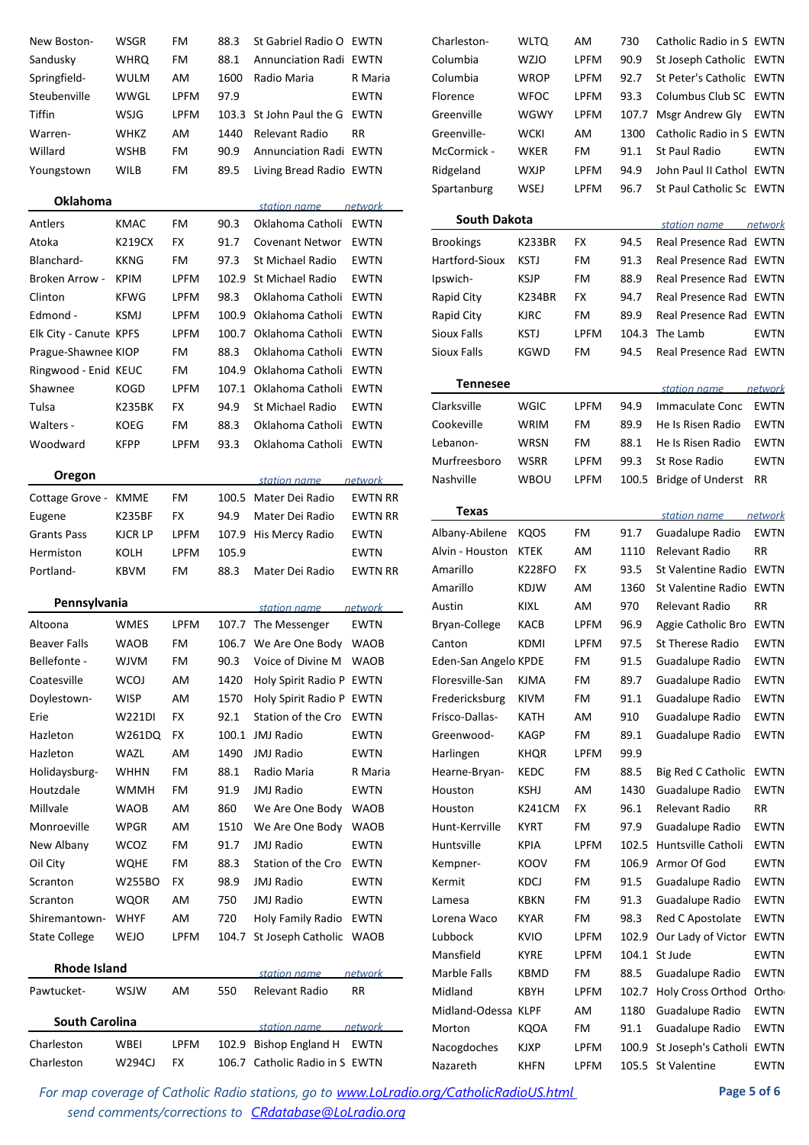| New Boston-            | WSGR                         | FM              | 88.3  | St Gabriel Radio O EWTN                         |                | Charleston-          | WLTQ          | AM          | 730   | Catholic Radio in S EWTN               |                    |
|------------------------|------------------------------|-----------------|-------|-------------------------------------------------|----------------|----------------------|---------------|-------------|-------|----------------------------------------|--------------------|
| Sandusky               | <b>WHRQ</b>                  | FM              | 88.1  | <b>Annunciation Radi EWTN</b>                   |                | Columbia             | <b>WZJO</b>   | <b>LPFM</b> | 90.9  | St Joseph Catholic EWTN                |                    |
| Springfield-           | <b>WULM</b>                  | AM              | 1600  | Radio Maria                                     | R Maria        | Columbia             | <b>WROP</b>   | <b>LPFM</b> | 92.7  | St Peter's Catholic EWTN               |                    |
| Steubenville           | WWGL                         | <b>LPFM</b>     | 97.9  |                                                 | <b>EWTN</b>    | Florence             | <b>WFOC</b>   | <b>LPFM</b> | 93.3  | Columbus Club SC EWTN                  |                    |
| Tiffin                 | WSJG                         | <b>LPFM</b>     |       | 103.3 St John Paul the G EWTN                   |                | Greenville           | WGWY          | <b>LPFM</b> | 107.7 | Msgr Andrew Gly                        | EWTN               |
| Warren-                | <b>WHKZ</b>                  | AM              | 1440  | Relevant Radio                                  | RR             | Greenville-          | <b>WCKI</b>   | AM          | 1300  | Catholic Radio in S EWTN               |                    |
| Willard                | <b>WSHB</b>                  | FM              | 90.9  | Annunciation Radi EWTN                          |                | McCormick -          | <b>WKER</b>   | FM          | 91.1  | St Paul Radio                          | <b>EWTN</b>        |
| Youngstown             | WILB                         | FM.             | 89.5  | Living Bread Radio EWTN                         |                | Ridgeland            | <b>WXJP</b>   | <b>LPFM</b> | 94.9  | John Paul II Cathol EWTN               |                    |
| Oklahoma               |                              |                 |       |                                                 |                | Spartanburg          | WSEJ          | <b>LPFM</b> | 96.7  | St Paul Catholic Sc EWTN               |                    |
|                        |                              |                 | 90.3  | station name                                    | network        | <b>South Dakota</b>  |               |             |       |                                        |                    |
| Antlers<br>Atoka       | <b>KMAC</b><br><b>K219CX</b> | FM<br><b>FX</b> | 91.7  | Oklahoma Catholi EWTN<br><b>Covenant Networ</b> | EWTN           |                      | <b>K233BR</b> | <b>FX</b>   | 94.5  | station name<br>Real Presence Rad EWTN | network            |
|                        |                              |                 |       |                                                 |                | <b>Brookings</b>     |               |             |       |                                        |                    |
| Blanchard-             | <b>KKNG</b>                  | FM              | 97.3  | St Michael Radio                                | EWTN           | Hartford-Sioux       | <b>KSTJ</b>   | FM          | 91.3  | Real Presence Rad EWTN                 |                    |
| Broken Arrow -         | <b>KPIM</b>                  | <b>LPFM</b>     | 102.9 | St Michael Radio                                | <b>EWTN</b>    | Ipswich-             | <b>KSJP</b>   | FM          | 88.9  | Real Presence Rad EWTN                 |                    |
| Clinton                | <b>KFWG</b>                  | <b>LPFM</b>     | 98.3  | Oklahoma Catholi EWTN                           |                | Rapid City           | <b>K234BR</b> | <b>FX</b>   | 94.7  | Real Presence Rad EWTN                 |                    |
| Edmond -               | <b>KSMJ</b>                  | <b>LPFM</b>     | 100.9 | Oklahoma Catholi EWTN                           |                | Rapid City           | <b>KJRC</b>   | FM          | 89.9  | Real Presence Rad EWTN                 |                    |
| Elk City - Canute KPFS |                              | <b>LPFM</b>     | 100.7 | Oklahoma Catholi EWTN                           |                | Sioux Falls          | <b>KSTJ</b>   | <b>LPFM</b> | 104.3 | The Lamb                               | <b>EWTN</b>        |
| Prague-Shawnee KIOP    |                              | FM              | 88.3  | Oklahoma Catholi EWTN                           |                | Sioux Falls          | <b>KGWD</b>   | FM          | 94.5  | Real Presence Rad EWTN                 |                    |
| Ringwood - Enid KEUC   |                              | FM              | 104.9 | Oklahoma Catholi EWTN                           |                | <b>Tennesee</b>      |               |             |       |                                        |                    |
| Shawnee                | <b>KOGD</b>                  | <b>LPFM</b>     |       | 107.1 Oklahoma Catholi EWTN                     |                |                      |               |             |       | station name                           | network            |
| Tulsa                  | <b>K235BK</b>                | <b>FX</b>       | 94.9  | St Michael Radio                                | <b>EWTN</b>    | Clarksville          | <b>WGIC</b>   | <b>LPFM</b> | 94.9  | Immaculate Conc                        | EWTN               |
| Walters -              | <b>KOEG</b>                  | FM              | 88.3  | Oklahoma Catholi EWTN                           |                | Cookeville           | WRIM          | FM          | 89.9  | He Is Risen Radio                      | <b>EWTN</b>        |
| Woodward               | <b>KFPP</b>                  | <b>LPFM</b>     | 93.3  | Oklahoma Catholi EWTN                           |                | Lebanon-             | <b>WRSN</b>   | FM          | 88.1  | He Is Risen Radio                      | <b>EWTN</b>        |
| Oregon                 |                              |                 |       |                                                 |                | Murfreesboro         | <b>WSRR</b>   | <b>LPFM</b> | 99.3  | St Rose Radio                          | <b>EWTN</b>        |
|                        |                              |                 |       | station name                                    | network        | Nashville            | <b>WBOU</b>   | <b>LPFM</b> | 100.5 | Bridge of Underst RR                   |                    |
| Cottage Grove -        | KMME                         | FM              |       | 100.5 Mater Dei Radio                           | <b>EWTN RR</b> | <b>Texas</b>         |               |             |       |                                        |                    |
| Eugene                 | <b>K235BF</b>                | <b>FX</b>       | 94.9  | Mater Dei Radio                                 | <b>EWTN RR</b> |                      |               |             |       | station name                           | network            |
| <b>Grants Pass</b>     | <b>KJCR LP</b>               | <b>LPFM</b>     |       | 107.9 His Mercy Radio                           | <b>EWTN</b>    | Albany-Abilene       | <b>KQOS</b>   | FM          | 91.7  | Guadalupe Radio                        | <b>EWTN</b>        |
| Hermiston              | KOLH                         | <b>LPFM</b>     | 105.9 |                                                 | <b>EWTN</b>    | Alvin - Houston      | <b>KTEK</b>   | AM          | 1110  | Relevant Radio                         | RR                 |
| Portland-              | KBVM                         | FM              | 88.3  | Mater Dei Radio                                 | <b>EWTN RR</b> | Amarillo             | <b>K228FO</b> | <b>FX</b>   | 93.5  | St Valentine Radio EWTN                |                    |
| Pennsylvania           |                              |                 |       |                                                 |                | Amarillo             | <b>KDJW</b>   | AM          | 1360  | St Valentine Radio EWTN                |                    |
|                        |                              |                 |       | station name                                    | <u>network</u> | Austin               | KIXL          | AM          | 970   | Relevant Radio                         | <b>RR</b>          |
| Altoona                | <b>WMES</b>                  | <b>LPFM</b>     |       | 107.7 The Messenger                             | <b>EWTN</b>    | Bryan-College        | KACB          | <b>LPFM</b> | 96.9  | Aggie Catholic Bro EWTN                |                    |
| Beaver Falls           | <b>WAOB</b>                  | FM              |       | 106.7 We Are One Body WAOB                      |                | Canton               | KDMI          | LPFM        | 97.5  | St Therese Radio                       | EWTN               |
| Bellefonte -           | <b>WJVM</b>                  | FM              | 90.3  | Voice of Divine M WAOB                          |                | Eden-San Angelo KPDE |               | FM          | 91.5  | Guadalupe Radio                        | EWTN               |
| Coatesville            | <b>WCOJ</b>                  | AM              | 1420  | Holy Spirit Radio P EWTN                        |                | Floresville-San      | KJMA          | FM          | 89.7  | Guadalupe Radio                        | <b>EWTN</b>        |
| Doylestown-            | <b>WISP</b>                  | AM              | 1570  | Holy Spirit Radio P EWTN                        |                | Fredericksburg       | KIVM          | FM          | 91.1  | Guadalupe Radio                        | <b>EWTN</b>        |
| Erie                   | W221DI                       | FX              | 92.1  | Station of the Cro                              | EWTN           | Frisco-Dallas-       | KATH          | AM          | 910   | Guadalupe Radio                        | <b>EWTN</b>        |
| Hazleton               | W261DQ                       | FX              |       | 100.1 JMJ Radio                                 | <b>EWTN</b>    | Greenwood-           | <b>KAGP</b>   | FM          | 89.1  | Guadalupe Radio                        | <b>EWTN</b>        |
| Hazleton               | WAZL                         | AM              | 1490  | JMJ Radio                                       | <b>EWTN</b>    | Harlingen            | <b>KHQR</b>   | <b>LPFM</b> | 99.9  |                                        |                    |
| Holidaysburg-          | <b>WHHN</b>                  | FM              | 88.1  | Radio Maria                                     | R Maria        | Hearne-Bryan-        | KEDC          | FM          | 88.5  | Big Red C Catholic EWTN                |                    |
| Houtzdale              | <b>WMMH</b>                  | FM              | 91.9  | <b>JMJ Radio</b>                                | <b>EWTN</b>    | Houston              | <b>KSHJ</b>   | AM          | 1430  | Guadalupe Radio                        | EWTN               |
| Millvale               | <b>WAOB</b>                  | AM              | 860   | We Are One Body                                 | <b>WAOB</b>    | Houston              | K241CM        | FX.         | 96.1  | Relevant Radio                         | RR                 |
| Monroeville            | <b>WPGR</b>                  | AM              | 1510  | We Are One Body                                 | <b>WAOB</b>    | Hunt-Kerrville       | <b>KYRT</b>   | FM          | 97.9  | Guadalupe Radio                        | <b>EWTN</b>        |
| New Albany             | <b>WCOZ</b>                  | FM              | 91.7  | <b>JMJ Radio</b>                                | <b>EWTN</b>    | Huntsville           | <b>KPIA</b>   | <b>LPFM</b> | 102.5 | Huntsville Catholi                     | <b>EWTN</b>        |
| Oil City               | <b>WQHE</b>                  | FM              | 88.3  | Station of the Cro                              | <b>EWTN</b>    | Kempner-             | KOOV          | FM          | 106.9 | Armor Of God                           | <b>EWTN</b>        |
| Scranton               | W255BO                       | FX.             | 98.9  | <b>JMJ Radio</b>                                | <b>EWTN</b>    | Kermit               | KDCJ          | FM          | 91.5  | Guadalupe Radio                        | <b>EWTN</b>        |
| Scranton               | WQOR                         | AM              | 750   | <b>JMJ Radio</b>                                | <b>EWTN</b>    | Lamesa               | <b>KBKN</b>   | FM          | 91.3  | Guadalupe Radio                        | EWTN               |
| Shiremantown-          | <b>WHYF</b>                  | AM              | 720   | Holy Family Radio EWTN                          |                | Lorena Waco          | KYAR          | FM          | 98.3  | Red C Apostolate                       | <b>EWTN</b>        |
| <b>State College</b>   | WEJO                         | <b>LPFM</b>     | 104.7 | St Joseph Catholic WAOB                         |                | Lubbock              | KVIO          | <b>LPFM</b> | 102.9 | Our Lady of Victor EWTN                |                    |
|                        |                              |                 |       |                                                 |                | Mansfield            | <b>KYRE</b>   | <b>LPFM</b> |       | 104.1 St Jude                          | <b>EWTN</b>        |
| <b>Rhode Island</b>    |                              |                 |       | station name                                    | <u>network</u> | Marble Falls         | <b>KBMD</b>   | FM          | 88.5  | Guadalupe Radio                        | <b>EWTN</b>        |
| Pawtucket-             | WSJW                         | AM              | 550   | Relevant Radio                                  | RR             | Midland              | <b>KBYH</b>   | <b>LPFM</b> | 102.7 | <b>Holy Cross Orthod</b>               | Ortho <sub>l</sub> |
|                        |                              |                 |       |                                                 |                | Midland-Odessa KLPF  |               | AM          | 1180  | Guadalupe Radio                        | EWTN               |
| <b>South Carolina</b>  |                              |                 |       | station name                                    | <i>network</i> | Morton               | <b>KQOA</b>   | FM          | 91.1  | Guadalupe Radio                        | EWTN               |
| Charleston             | WBEI                         | <b>LPFM</b>     | 102.9 | Bishop England H                                | EWTN           | Nacogdoches          | <b>KJXP</b>   | LPFM        | 100.9 | St Joseph's Catholi EWTN               |                    |
| Charleston             | <b>W294CJ</b>                | FX.             |       | 106.7 Catholic Radio in S EWTN                  |                | Nazareth             | <b>KHFN</b>   | LPFM        |       | 105.5 St Valentine                     | <b>EWTN</b>        |

For map coverage of Catholic Radio stations, go to **www.LoLradio.org/CatholicRadioUS.html Page 5 of 6** *send comments/corrections to CRdatabase@LoLradio.org*